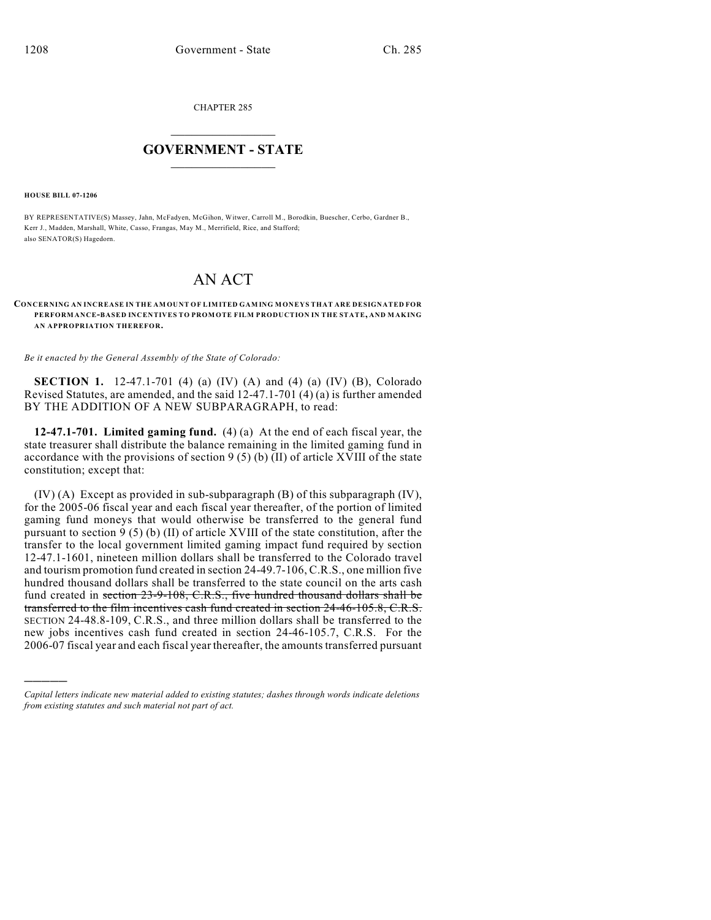CHAPTER 285

## $\overline{\phantom{a}}$  . The set of the set of the set of the set of the set of the set of the set of the set of the set of the set of the set of the set of the set of the set of the set of the set of the set of the set of the set o **GOVERNMENT - STATE**  $\_$

**HOUSE BILL 07-1206**

)))))

BY REPRESENTATIVE(S) Massey, Jahn, McFadyen, McGihon, Witwer, Carroll M., Borodkin, Buescher, Cerbo, Gardner B., Kerr J., Madden, Marshall, White, Casso, Frangas, May M., Merrifield, Rice, and Stafford; also SENATOR(S) Hagedorn.

## AN ACT

## **CONCERNING AN INCREASE IN THE AM OUNT OF LIMITED GAM ING MONEYS THAT ARE DESIGNATED FOR PERFORMANCE-BASED INCENTIVES TO PROM OTE FILM PRODUCTION IN THE STATE, AND MAKING AN APPROPRIATION THEREFOR.**

*Be it enacted by the General Assembly of the State of Colorado:*

**SECTION 1.** 12-47.1-701 (4) (a) (IV) (A) and (4) (a) (IV) (B), Colorado Revised Statutes, are amended, and the said 12-47.1-701 (4) (a) is further amended BY THE ADDITION OF A NEW SUBPARAGRAPH, to read:

**12-47.1-701. Limited gaming fund.** (4) (a) At the end of each fiscal year, the state treasurer shall distribute the balance remaining in the limited gaming fund in accordance with the provisions of section  $9(5)(b)(II)$  of article XVIII of the state constitution; except that:

(IV) (A) Except as provided in sub-subparagraph (B) of this subparagraph (IV), for the 2005-06 fiscal year and each fiscal year thereafter, of the portion of limited gaming fund moneys that would otherwise be transferred to the general fund pursuant to section 9 (5) (b) (II) of article XVIII of the state constitution, after the transfer to the local government limited gaming impact fund required by section 12-47.1-1601, nineteen million dollars shall be transferred to the Colorado travel and tourism promotion fund created in section 24-49.7-106, C.R.S., one million five hundred thousand dollars shall be transferred to the state council on the arts cash fund created in section 23-9-108, C.R.S., five hundred thousand dollars shall be transferred to the film incentives cash fund created in section 24-46-105.8, C.R.S. SECTION 24-48.8-109, C.R.S., and three million dollars shall be transferred to the new jobs incentives cash fund created in section 24-46-105.7, C.R.S. For the 2006-07 fiscal year and each fiscal year thereafter, the amounts transferred pursuant

*Capital letters indicate new material added to existing statutes; dashes through words indicate deletions from existing statutes and such material not part of act.*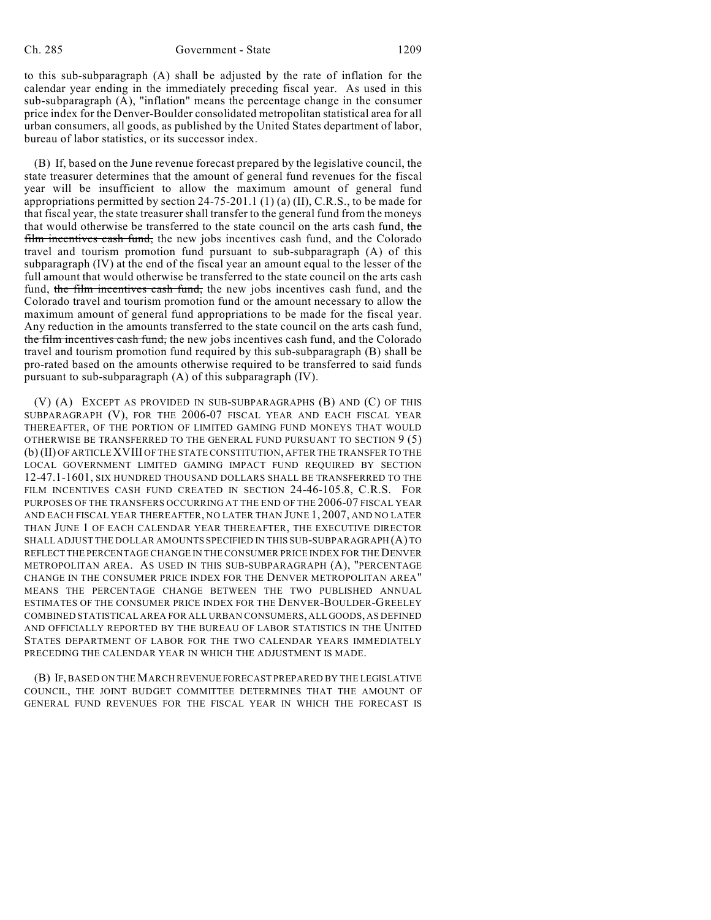to this sub-subparagraph (A) shall be adjusted by the rate of inflation for the calendar year ending in the immediately preceding fiscal year. As used in this sub-subparagraph (A), "inflation" means the percentage change in the consumer price index for the Denver-Boulder consolidated metropolitan statistical area for all urban consumers, all goods, as published by the United States department of labor, bureau of labor statistics, or its successor index.

(B) If, based on the June revenue forecast prepared by the legislative council, the state treasurer determines that the amount of general fund revenues for the fiscal year will be insufficient to allow the maximum amount of general fund appropriations permitted by section 24-75-201.1 (1) (a) (II), C.R.S., to be made for that fiscal year, the state treasurer shall transfer to the general fund from the moneys that would otherwise be transferred to the state council on the arts cash fund, the film incentives cash fund, the new jobs incentives cash fund, and the Colorado travel and tourism promotion fund pursuant to sub-subparagraph (A) of this subparagraph (IV) at the end of the fiscal year an amount equal to the lesser of the full amount that would otherwise be transferred to the state council on the arts cash fund, the film incentives cash fund, the new jobs incentives cash fund, and the Colorado travel and tourism promotion fund or the amount necessary to allow the maximum amount of general fund appropriations to be made for the fiscal year. Any reduction in the amounts transferred to the state council on the arts cash fund, the film incentives cash fund, the new jobs incentives cash fund, and the Colorado travel and tourism promotion fund required by this sub-subparagraph (B) shall be pro-rated based on the amounts otherwise required to be transferred to said funds pursuant to sub-subparagraph (A) of this subparagraph (IV).

(V) (A) EXCEPT AS PROVIDED IN SUB-SUBPARAGRAPHS (B) AND (C) OF THIS SUBPARAGRAPH (V), FOR THE 2006-07 FISCAL YEAR AND EACH FISCAL YEAR THEREAFTER, OF THE PORTION OF LIMITED GAMING FUND MONEYS THAT WOULD OTHERWISE BE TRANSFERRED TO THE GENERAL FUND PURSUANT TO SECTION 9 (5) (b) (II) OF ARTICLE XVIII OF THE STATE CONSTITUTION, AFTER THE TRANSFER TO THE LOCAL GOVERNMENT LIMITED GAMING IMPACT FUND REQUIRED BY SECTION 12-47.1-1601, SIX HUNDRED THOUSAND DOLLARS SHALL BE TRANSFERRED TO THE FILM INCENTIVES CASH FUND CREATED IN SECTION 24-46-105.8, C.R.S. FOR PURPOSES OF THE TRANSFERS OCCURRING AT THE END OF THE 2006-07 FISCAL YEAR AND EACH FISCAL YEAR THEREAFTER, NO LATER THAN JUNE 1, 2007, AND NO LATER THAN JUNE 1 OF EACH CALENDAR YEAR THEREAFTER, THE EXECUTIVE DIRECTOR SHALL ADJUST THE DOLLAR AMOUNTS SPECIFIED IN THIS SUB-SUBPARAGRAPH (A) TO REFLECT THE PERCENTAGE CHANGE IN THE CONSUMER PRICE INDEX FOR THE DENVER METROPOLITAN AREA. AS USED IN THIS SUB-SUBPARAGRAPH (A), "PERCENTAGE CHANGE IN THE CONSUMER PRICE INDEX FOR THE DENVER METROPOLITAN AREA" MEANS THE PERCENTAGE CHANGE BETWEEN THE TWO PUBLISHED ANNUAL ESTIMATES OF THE CONSUMER PRICE INDEX FOR THE DENVER-BOULDER-GREELEY COMBINED STATISTICAL AREA FOR ALL URBAN CONSUMERS, ALL GOODS, AS DEFINED AND OFFICIALLY REPORTED BY THE BUREAU OF LABOR STATISTICS IN THE UNITED STATES DEPARTMENT OF LABOR FOR THE TWO CALENDAR YEARS IMMEDIATELY PRECEDING THE CALENDAR YEAR IN WHICH THE ADJUSTMENT IS MADE.

(B) IF, BASED ON THE MARCH REVENUE FORECAST PREPARED BY THE LEGISLATIVE COUNCIL, THE JOINT BUDGET COMMITTEE DETERMINES THAT THE AMOUNT OF GENERAL FUND REVENUES FOR THE FISCAL YEAR IN WHICH THE FORECAST IS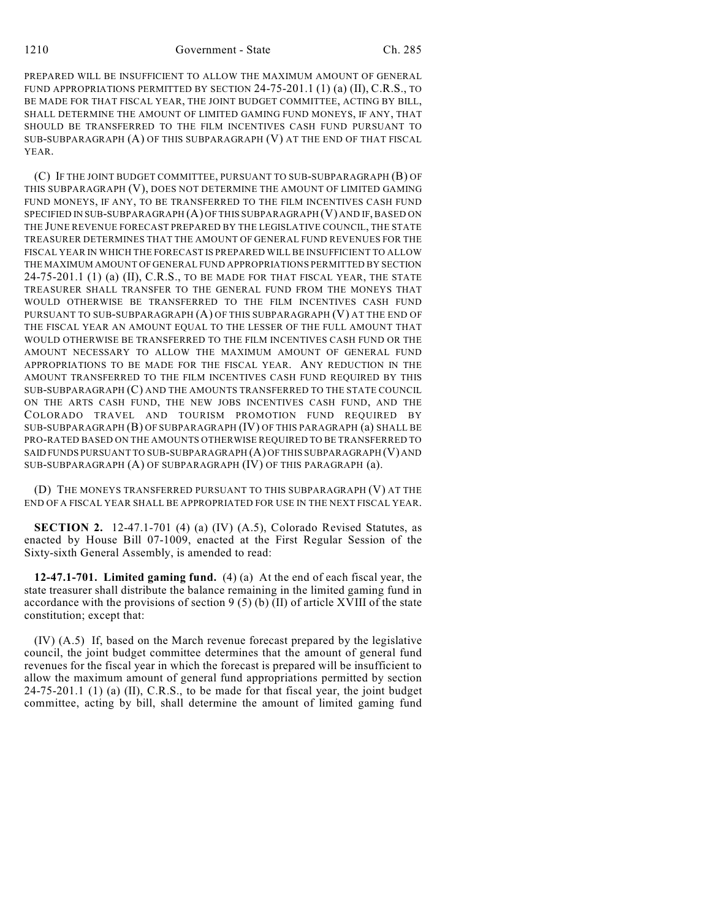PREPARED WILL BE INSUFFICIENT TO ALLOW THE MAXIMUM AMOUNT OF GENERAL FUND APPROPRIATIONS PERMITTED BY SECTION 24-75-201.1 (1) (a) (II), C.R.S., TO BE MADE FOR THAT FISCAL YEAR, THE JOINT BUDGET COMMITTEE, ACTING BY BILL, SHALL DETERMINE THE AMOUNT OF LIMITED GAMING FUND MONEYS, IF ANY, THAT SHOULD BE TRANSFERRED TO THE FILM INCENTIVES CASH FUND PURSUANT TO SUB-SUBPARAGRAPH (A) OF THIS SUBPARAGRAPH (V) AT THE END OF THAT FISCAL YEAR.

(C) IF THE JOINT BUDGET COMMITTEE, PURSUANT TO SUB-SUBPARAGRAPH (B) OF THIS SUBPARAGRAPH (V), DOES NOT DETERMINE THE AMOUNT OF LIMITED GAMING FUND MONEYS, IF ANY, TO BE TRANSFERRED TO THE FILM INCENTIVES CASH FUND SPECIFIED IN SUB-SUBPARAGRAPH (A) OF THIS SUBPARAGRAPH (V) AND IF, BASED ON THE JUNE REVENUE FORECAST PREPARED BY THE LEGISLATIVE COUNCIL, THE STATE TREASURER DETERMINES THAT THE AMOUNT OF GENERAL FUND REVENUES FOR THE FISCAL YEAR IN WHICH THE FORECAST IS PREPARED WILL BE INSUFFICIENT TO ALLOW THE MAXIMUM AMOUNT OF GENERAL FUND APPROPRIATIONS PERMITTED BY SECTION 24-75-201.1 (1) (a) (II), C.R.S., TO BE MADE FOR THAT FISCAL YEAR, THE STATE TREASURER SHALL TRANSFER TO THE GENERAL FUND FROM THE MONEYS THAT WOULD OTHERWISE BE TRANSFERRED TO THE FILM INCENTIVES CASH FUND PURSUANT TO SUB-SUBPARAGRAPH (A) OF THIS SUBPARAGRAPH (V) AT THE END OF THE FISCAL YEAR AN AMOUNT EQUAL TO THE LESSER OF THE FULL AMOUNT THAT WOULD OTHERWISE BE TRANSFERRED TO THE FILM INCENTIVES CASH FUND OR THE AMOUNT NECESSARY TO ALLOW THE MAXIMUM AMOUNT OF GENERAL FUND APPROPRIATIONS TO BE MADE FOR THE FISCAL YEAR. ANY REDUCTION IN THE AMOUNT TRANSFERRED TO THE FILM INCENTIVES CASH FUND REQUIRED BY THIS SUB-SUBPARAGRAPH (C) AND THE AMOUNTS TRANSFERRED TO THE STATE COUNCIL ON THE ARTS CASH FUND, THE NEW JOBS INCENTIVES CASH FUND, AND THE COLORADO TRAVEL AND TOURISM PROMOTION FUND REQUIRED BY SUB-SUBPARAGRAPH (B) OF SUBPARAGRAPH (IV) OF THIS PARAGRAPH (a) SHALL BE PRO-RATED BASED ON THE AMOUNTS OTHERWISE REQUIRED TO BE TRANSFERRED TO SAID FUNDS PURSUANT TO SUB-SUBPARAGRAPH (A) OF THIS SUBPARAGRAPH (V) AND SUB-SUBPARAGRAPH (A) OF SUBPARAGRAPH (IV) OF THIS PARAGRAPH (a).

(D) THE MONEYS TRANSFERRED PURSUANT TO THIS SUBPARAGRAPH (V) AT THE END OF A FISCAL YEAR SHALL BE APPROPRIATED FOR USE IN THE NEXT FISCAL YEAR.

**SECTION 2.** 12-47.1-701 (4) (a) (IV) (A.5), Colorado Revised Statutes, as enacted by House Bill 07-1009, enacted at the First Regular Session of the Sixty-sixth General Assembly, is amended to read:

**12-47.1-701. Limited gaming fund.** (4) (a) At the end of each fiscal year, the state treasurer shall distribute the balance remaining in the limited gaming fund in accordance with the provisions of section  $9(5)(b)(II)$  of article XVIII of the state constitution; except that:

(IV) (A.5) If, based on the March revenue forecast prepared by the legislative council, the joint budget committee determines that the amount of general fund revenues for the fiscal year in which the forecast is prepared will be insufficient to allow the maximum amount of general fund appropriations permitted by section 24-75-201.1 (1) (a) (II), C.R.S., to be made for that fiscal year, the joint budget committee, acting by bill, shall determine the amount of limited gaming fund